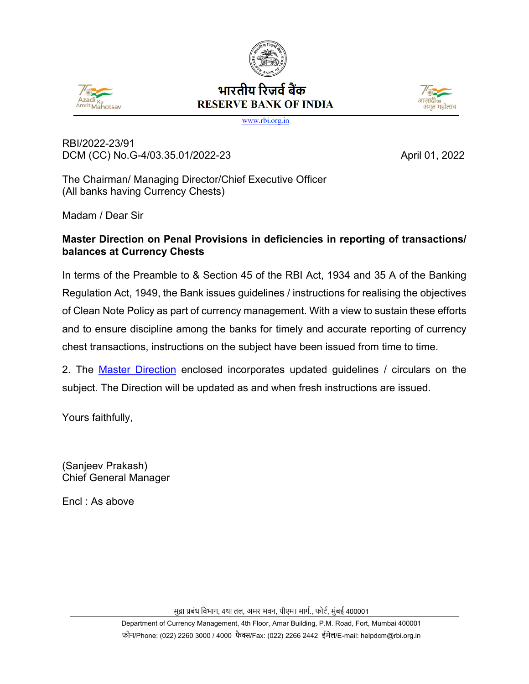



# भारतीय रिजर्व बैंक **RESERVE BANK OF INDIA**



www.rbi.org.in

RBI/2022-23/91 DCM (CC) No.G-4/03.35.01/2022-23 April 01, 2022

The Chairman/ Managing Director/Chief Executive Officer (All banks having Currency Chests)

Madam / Dear Sir

#### **Master Direction on Penal Provisions in deficiencies in reporting of transactions/ balances at Currency Chests**

In terms of the Preamble to & Section 45 of the RBI Act, 1934 and 35 A of the Banking Regulation Act, 1949, the Bank issues guidelines / instructions for realising the objectives of Clean Note Policy as part of currency management. With a view to sustain these efforts and to ensure discipline among the banks for timely and accurate reporting of currency chest transactions, instructions on the subject have been issued from time to time.

2. The [Master Direction](#page-1-0) enclosed incorporates updated guidelines / circulars on the subject. The Direction will be updated as and when fresh instructions are issued.

Yours faithfully,

(Sanjeev Prakash) Chief General Manager

Encl : As above

मुद्रा प्रबंध विभाग, 4था तल, अमर भवन, पीएम। मार्ग., फोर्ट, मुंबई 400001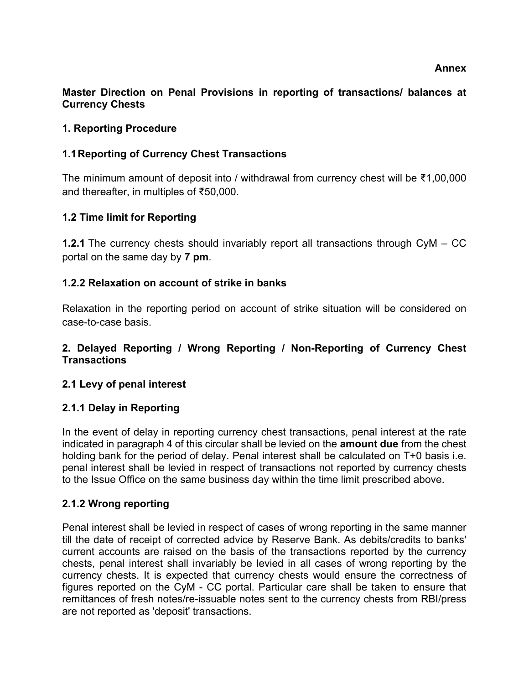#### <span id="page-1-0"></span>**Master Direction on Penal Provisions in reporting of transactions/ balances at Currency Chests**

#### **1. Reporting Procedure**

#### **1.1Reporting of Currency Chest Transactions**

The minimum amount of deposit into / withdrawal from currency chest will be ₹1,00,000 and thereafter, in multiples of ₹50,000.

#### **1.2 Time limit for Reporting**

**1.2.1** The currency chests should invariably report all transactions through CyM – CC portal on the same day by **7 pm**.

#### **1.2.2 Relaxation on account of strike in banks**

Relaxation in the reporting period on account of strike situation will be considered on case-to-case basis.

#### **2. Delayed Reporting / Wrong Reporting / Non-Reporting of Currency Chest Transactions**

#### **2.1 Levy of penal interest**

#### **2.1.1 Delay in Reporting**

In the event of delay in reporting currency chest transactions, penal interest at the rate indicated in paragraph 4 of this circular shall be levied on the **amount due** from the chest holding bank for the period of delay. Penal interest shall be calculated on T+0 basis i.e. penal interest shall be levied in respect of transactions not reported by currency chests to the Issue Office on the same business day within the time limit prescribed above.

#### **2.1.2 Wrong reporting**

Penal interest shall be levied in respect of cases of wrong reporting in the same manner till the date of receipt of corrected advice by Reserve Bank. As debits/credits to banks' current accounts are raised on the basis of the transactions reported by the currency chests, penal interest shall invariably be levied in all cases of wrong reporting by the currency chests. It is expected that currency chests would ensure the correctness of figures reported on the CyM - CC portal. Particular care shall be taken to ensure that remittances of fresh notes/re-issuable notes sent to the currency chests from RBI/press are not reported as 'deposit' transactions.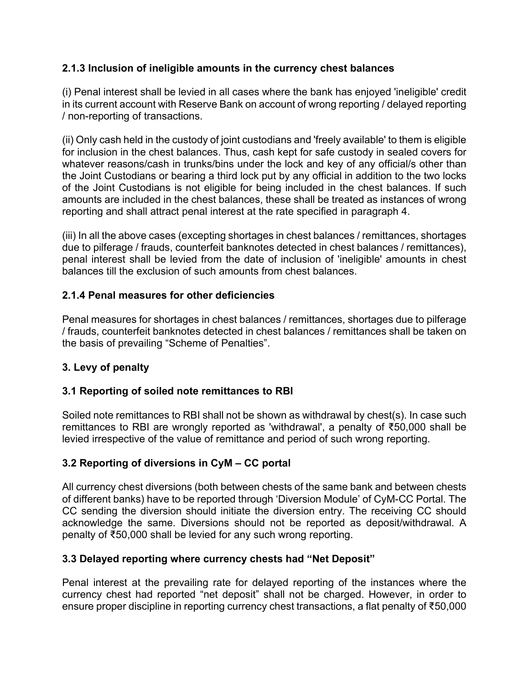## **2.1.3 Inclusion of ineligible amounts in the currency chest balances**

(i) Penal interest shall be levied in all cases where the bank has enjoyed 'ineligible' credit in its current account with Reserve Bank on account of wrong reporting / delayed reporting / non-reporting of transactions.

(ii) Only cash held in the custody of joint custodians and 'freely available' to them is eligible for inclusion in the chest balances. Thus, cash kept for safe custody in sealed covers for whatever reasons/cash in trunks/bins under the lock and key of any official/s other than the Joint Custodians or bearing a third lock put by any official in addition to the two locks of the Joint Custodians is not eligible for being included in the chest balances. If such amounts are included in the chest balances, these shall be treated as instances of wrong reporting and shall attract penal interest at the rate specified in paragraph 4.

(iii) In all the above cases (excepting shortages in chest balances / remittances, shortages due to pilferage / frauds, counterfeit banknotes detected in chest balances / remittances), penal interest shall be levied from the date of inclusion of 'ineligible' amounts in chest balances till the exclusion of such amounts from chest balances.

# **2.1.4 Penal measures for other deficiencies**

Penal measures for shortages in chest balances / remittances, shortages due to pilferage / frauds, counterfeit banknotes detected in chest balances / remittances shall be taken on the basis of prevailing "Scheme of Penalties".

#### **3. Levy of penalty**

#### **3.1 Reporting of soiled note remittances to RBI**

Soiled note remittances to RBI shall not be shown as withdrawal by chest(s). In case such remittances to RBI are wrongly reported as 'withdrawal', a penalty of ₹50,000 shall be levied irrespective of the value of remittance and period of such wrong reporting.

#### **3.2 Reporting of diversions in CyM – CC portal**

All currency chest diversions (both between chests of the same bank and between chests of different banks) have to be reported through 'Diversion Module' of CyM-CC Portal. The CC sending the diversion should initiate the diversion entry. The receiving CC should acknowledge the same. Diversions should not be reported as deposit/withdrawal. A penalty of ₹50,000 shall be levied for any such wrong reporting.

#### **3.3 Delayed reporting where currency chests had "Net Deposit"**

Penal interest at the prevailing rate for delayed reporting of the instances where the currency chest had reported "net deposit" shall not be charged. However, in order to ensure proper discipline in reporting currency chest transactions, a flat penalty of ₹50,000